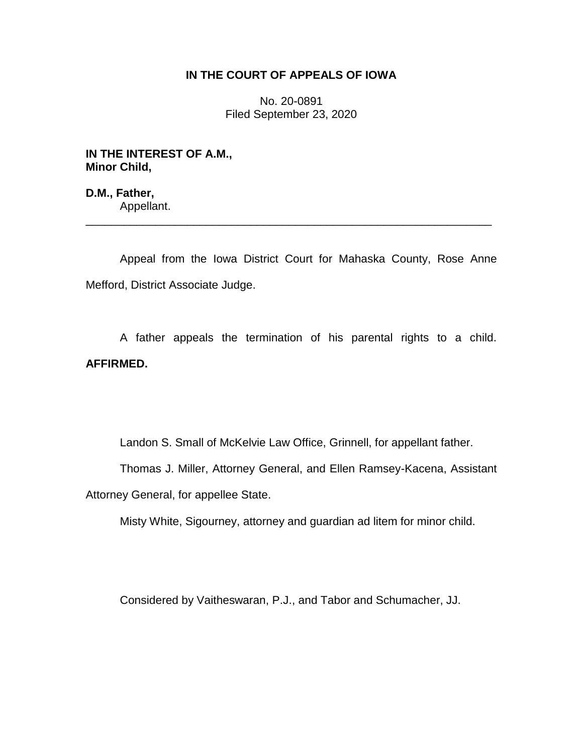# **IN THE COURT OF APPEALS OF IOWA**

No. 20-0891 Filed September 23, 2020

**IN THE INTEREST OF A.M., Minor Child,**

**D.M., Father,** Appellant.

Appeal from the Iowa District Court for Mahaska County, Rose Anne Mefford, District Associate Judge.

\_\_\_\_\_\_\_\_\_\_\_\_\_\_\_\_\_\_\_\_\_\_\_\_\_\_\_\_\_\_\_\_\_\_\_\_\_\_\_\_\_\_\_\_\_\_\_\_\_\_\_\_\_\_\_\_\_\_\_\_\_\_\_\_

A father appeals the termination of his parental rights to a child. **AFFIRMED.**

Landon S. Small of McKelvie Law Office, Grinnell, for appellant father.

Thomas J. Miller, Attorney General, and Ellen Ramsey-Kacena, Assistant

Attorney General, for appellee State.

Misty White, Sigourney, attorney and guardian ad litem for minor child.

Considered by Vaitheswaran, P.J., and Tabor and Schumacher, JJ.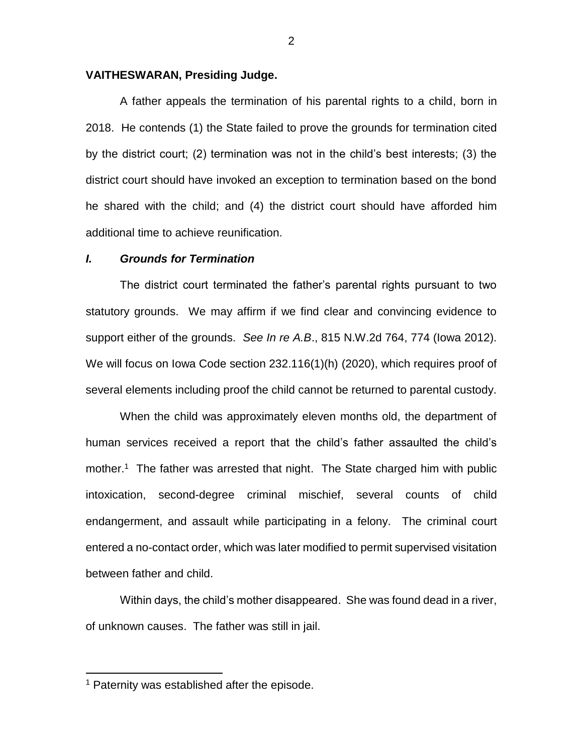### **VAITHESWARAN, Presiding Judge.**

A father appeals the termination of his parental rights to a child, born in 2018. He contends (1) the State failed to prove the grounds for termination cited by the district court; (2) termination was not in the child's best interests; (3) the district court should have invoked an exception to termination based on the bond he shared with the child; and (4) the district court should have afforded him additional time to achieve reunification.

#### *I. Grounds for Termination*

The district court terminated the father's parental rights pursuant to two statutory grounds. We may affirm if we find clear and convincing evidence to support either of the grounds. *See In re A.B*., 815 N.W.2d 764, 774 (Iowa 2012). We will focus on Iowa Code section 232.116(1)(h) (2020), which requires proof of several elements including proof the child cannot be returned to parental custody.

When the child was approximately eleven months old, the department of human services received a report that the child's father assaulted the child's mother.<sup>1</sup> The father was arrested that night. The State charged him with public intoxication, second-degree criminal mischief, several counts of child endangerment, and assault while participating in a felony. The criminal court entered a no-contact order, which was later modified to permit supervised visitation between father and child.

Within days, the child's mother disappeared. She was found dead in a river, of unknown causes. The father was still in jail.

 $\overline{a}$ 

<sup>&</sup>lt;sup>1</sup> Paternity was established after the episode.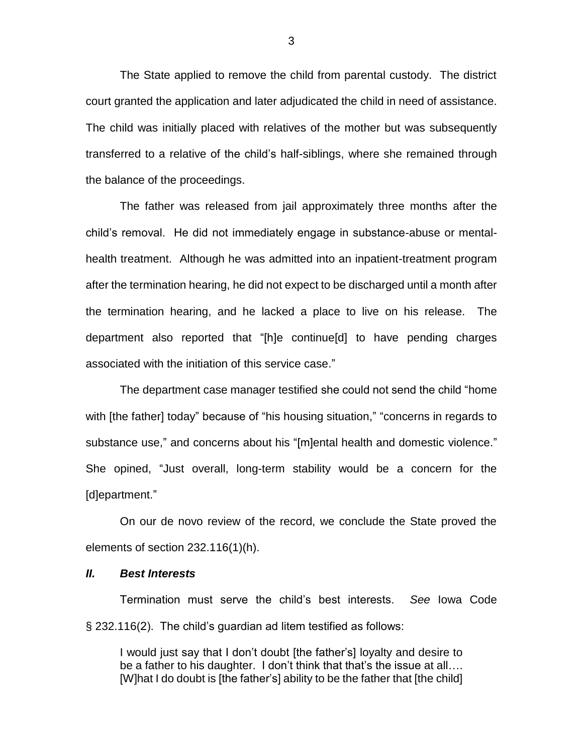The State applied to remove the child from parental custody. The district court granted the application and later adjudicated the child in need of assistance. The child was initially placed with relatives of the mother but was subsequently transferred to a relative of the child's half-siblings, where she remained through the balance of the proceedings.

The father was released from jail approximately three months after the child's removal. He did not immediately engage in substance-abuse or mentalhealth treatment. Although he was admitted into an inpatient-treatment program after the termination hearing, he did not expect to be discharged until a month after the termination hearing, and he lacked a place to live on his release. The department also reported that "[h]e continue[d] to have pending charges associated with the initiation of this service case."

The department case manager testified she could not send the child "home with [the father] today" because of "his housing situation," "concerns in regards to substance use," and concerns about his "[m]ental health and domestic violence." She opined, "Just overall, long-term stability would be a concern for the [d]epartment."

On our de novo review of the record, we conclude the State proved the elements of section 232.116(1)(h).

#### *II. Best Interests*

Termination must serve the child's best interests. *See* Iowa Code § 232.116(2). The child's guardian ad litem testified as follows:

I would just say that I don't doubt [the father's] loyalty and desire to be a father to his daughter. I don't think that that's the issue at all.... [W]hat I do doubt is [the father's] ability to be the father that [the child]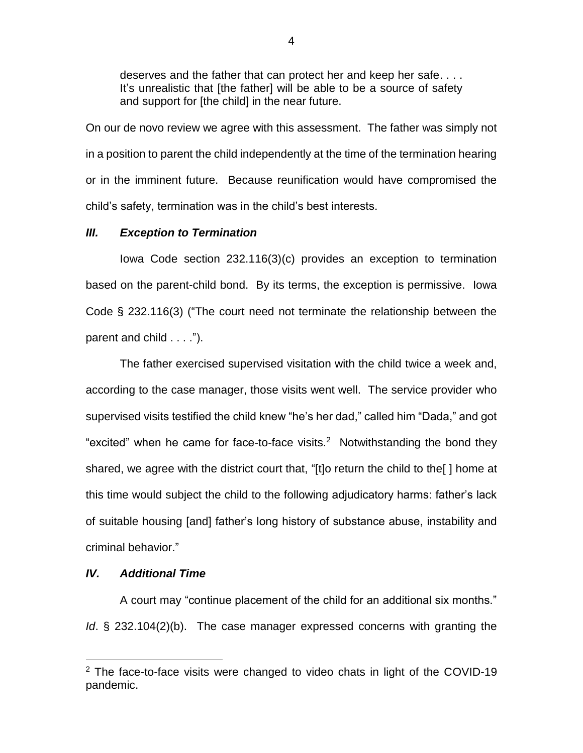deserves and the father that can protect her and keep her safe. . . . It's unrealistic that [the father] will be able to be a source of safety and support for [the child] in the near future.

On our de novo review we agree with this assessment. The father was simply not in a position to parent the child independently at the time of the termination hearing or in the imminent future. Because reunification would have compromised the child's safety, termination was in the child's best interests.

## *III. Exception to Termination*

Iowa Code section 232.116(3)(c) provides an exception to termination based on the parent-child bond. By its terms, the exception is permissive. Iowa Code § 232.116(3) ("The court need not terminate the relationship between the parent and child . . . .").

The father exercised supervised visitation with the child twice a week and, according to the case manager, those visits went well. The service provider who supervised visits testified the child knew "he's her dad," called him "Dada," and got "excited" when he came for face-to-face visits. $2$  Notwithstanding the bond they shared, we agree with the district court that, "[t]o return the child to the[ ] home at this time would subject the child to the following adjudicatory harms: father's lack of suitable housing [and] father's long history of substance abuse, instability and criminal behavior."

# *IV. Additional Time*

 $\overline{a}$ 

A court may "continue placement of the child for an additional six months." *Id*. § 232.104(2)(b). The case manager expressed concerns with granting the

 $2$  The face-to-face visits were changed to video chats in light of the COVID-19 pandemic.